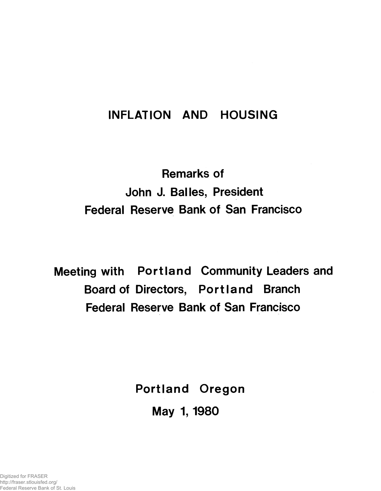## **INFLATION AND HOUSING**

# **Remarks of John J. Balles, President Federal Reserve Bank of San Francisco**

**Meeting with Portland Community Leaders and Board of Directors, Portland Branch Federal Reserve Bank of San Francisco**

> **Portland Oregon May 1,1980**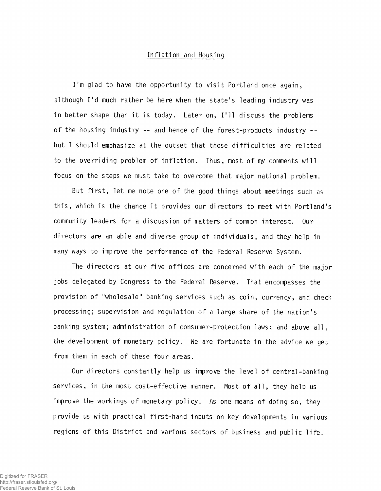#### Inflation and Housing

I'm glad to have the opportunity to visit Portland once again, although I'd much rather be here when the state's leading industry was in better shape than it is today. Later on, I'll discuss the problems of the housing industry -- and hence of the forest-products industry -but I should emphasize at the outset that those difficulties are related to the overriding problem of inflation. Thus, most of my comments will focus on the steps we must take to overcome that major national problem.

But first, let me note one of the good things about meetings such as this, which is the chance it provides our directors to meet with Portland's community leaders for a discussion of matters of common interest. Our directors are an able and diverse group of individuals, and they help in many ways to improve the performance of the Federal Reserve System.

The directors at our five offices are concerned with each of the major jobs delegated by Congress to the Federal Reserve. That encompasses the provision of "wholesale" banking services such as coin, currency, and check processing; supervision and regulation of a large share of the nation's banking system; administration of consumer-protection laws; and above all, the development of monetary policy. We are fortunate in the advice we get from them in each of these four areas.

Our directors constantly help us improve the level of central-banking services, in the most cost-effective manner. Most of all, they help us improve the workings of monetary policy. As one means of doing so, they provide us with practical first-hand inputs on key developments in various regions of this District and various sectors of business and public life.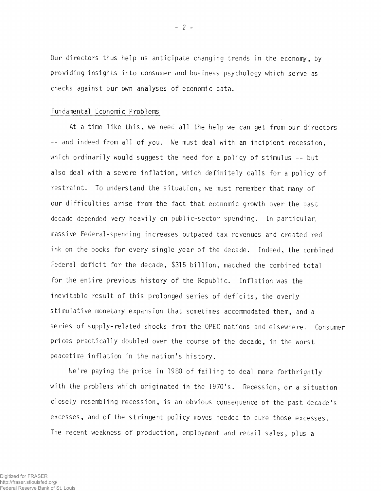Our directors thus help us anticipate changing trends in the economy, by providing insights into consumer and business psychology which serve as checks against our own analyses of economic data.

#### Fundamental Economic Problems

At a time like this, we need all the help we can get from our directors -- and indeed from all of you. We must deal with an incipient recession, which ordinarily would suggest the need for a policy of stimulus -- but also deal with a severe inflation, which definitely calls for a policy of restraint. To understand the situation, we must remember that many of our difficulties arise from the fact that economic growth over the past decade depended very heavily on public-sector spending. In particular, massive Federal-spending increases outpaced tax revenues and created red ink on the books for every single year of the decade. Indeed, the combined Federal deficit for the decade, \$315 billion, matched the combined total for the entire previous history of the Republic. Inflation was the inevitable result of this prolonged series of deficits, the overly stimulative monetary expansion that sometimes accommodated them, and a series of supply-related shocks from the OPEC nations and elsewhere. Consumer prices practically doubled over the course of the decade, in the worst peacetime inflation in the nation's history.

We're paying the price in 1930 of failing to deal more forthrightly with the problems which originated in the 1970's. Recession, or a situation closely resembling recession, is an obvious consequence of the past decade's excesses, and of the stringent policy moves needed to cure those excesses. The recent weakness of production, employment and retail sales, plus a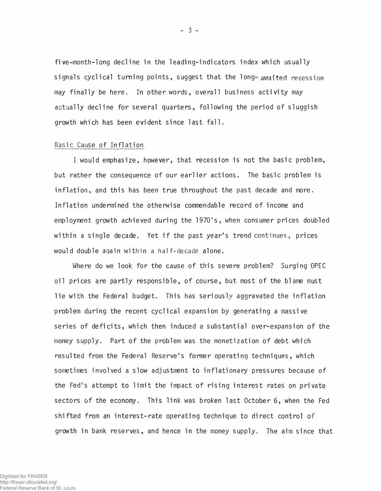five-month-1 ong decline in the leading-indicators index which usually signals cyclical turning points, suggest that the long- awaited recession may finally be here. In other words, overall business activity may actually decline for several quarters, following the period of sluggish growth which has been evident since last fall.

#### Basic Cause of Inflation

I would emphasize, however, that recession is not the basic problem, but rather the consequence of our earlier actions. The basic problem is inflation, and this has been true throughout the past decade and more. Inflation undermined the otherwise commendable record of income and employment growth achieved during the 1970's, when consumer prices doubled within a single decade. Yet if the past year's trend continues, prices would double again within a half-decade alone.

Where do we look for the cause of this severe problem? Surging OPEC oil prices are partly responsible, of course, but most of the blame must lie with the Federal budget. This has seriously aggravated the inflation problem during the recent cyclical expansion by generating a massive series of deficits, which then induced a substantial over-expansion of the money supply. Part of the problem was the monetization of debt which resulted from the Federal Reserve's former operating techniques, which sometimes involved a slow adjustment to inflationary pressures because of the Fed's attempt to limit the impact of rising interest rates on private sectors of the economy. This link was broken last October 6, when the Fed shifted from an interest-rate operating technique to direct control of growth in bank reserves, and hence in the money supply. The aim since that

- 3 -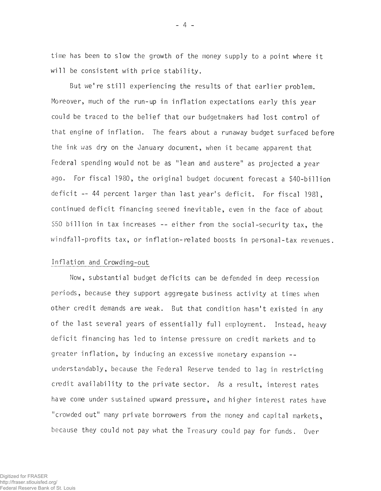time has been to slow the growth of the money supply to a point where it will be consistent with price stability.

But we're still experiencing the results of that earlier problem. Moreover, much of the run-up in inflation expectations early this year could be traced to the belief that our budgetmakers had lost control of that engine of inflation. The fears about a runaway budget surfaced before the ink was dry on the January document, when it became apparent that Federal spending would not be as "lean and austere" as projected a year ago. For fiscal 1980, the original budget document forecast a \$40-billion deficit -- 44 percent larger than last year's deficit. For fiscal 1981, continued deficit financing seemed inevitable, even in the face of about \$50 billion in tax increases -- either from the social-security tax, the windfall-profits tax, or inflation-related boosts in personal-tax revenues.

#### Inflation and Crowding-out

Now, substantial budget deficits can be defended in deep recession periods, because they support aggregate business activity at times when other credit demands are weak. But that condition hasn't existed in any of the last several years of essentially full employment. Instead, heavy deficit financing has led to intense pressure on credit markets and to greater inflation, by inducing an excessive monetary expansion -understandably, because the Federal Reserve tended to lag in restricting credit availability to the private sector. As a result, interest rates have come under sustained upward pressure, and higher interest rates have "crowded out" many private borrowers from the money and capital markets, because they could not pay what the Treasury could pay for funds. Over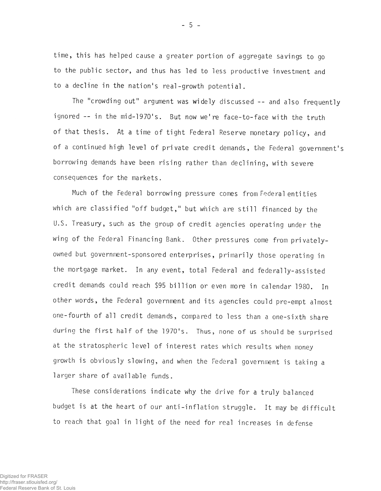time, this has helped cause a greater portion of aggregate savings to go to the public sector, and thus has led to less productive investment and to a decline in the nation's real-growth potential.

The "crowding out" argument was widely discussed -- and also frequently ignored -- in the mid-1970's. But now we're face-to-face with the truth of that thesis. At a time of tight Federal Reserve monetary policy, and of a continued high level of private credit demands, the Federal government's borrowing demands have been rising rather than declining, with severe consequences for the markets.

Much of the Federal borrowing pressure comes from Federal entities which are classified "off budget," but which are still financed by the U.S. Treasury, such as the group of credit agencies operating under the wing of the Federal Financing Bank. Other pressures come from privatelyowned but government-sponsored enterprises, primarily those operating in the mortgage market. In any event, total Federal and federally-assisted credit demands could reach \$95 billion or even more in calendar 1980. In other words, the Federal government and its agencies could pre-empt almost one-fourth of all credit demands, compared to less than a one-sixth share during the first half of the 1970's. Thus, none of us should be surprised at the stratospheric level of interest rates which results when money growth is obviously slowing, and when the Federal government is taking a larger share of available funds.

These considerations indicate why the drive for a truly balanced budget is at the heart of our anti-inflation struggle. It may be difficult to reach that goal in light of the need for real increases in defense

 $-5 -$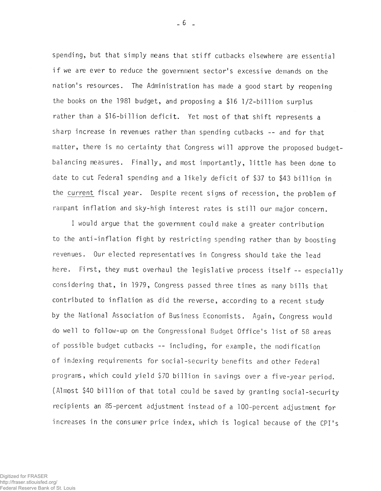spending, but that simply means that stiff cutbacks elsewhere are essential if we are ever to reduce the government sector's excessive demands on the nation's resources. The Administration has made a good start by reopening the books on the 1981 budget, and proposing a \$16 1/2-billion surplus rather than a \$16-billion deficit. Yet most of that shift represents a sharp increase in revenues rather than spending cutbacks -- and for that matter, there is no certainty that Congress will approve the proposed budgetbalancing measures. Finally, and most importantly, little has been done to date to cut Federal spending and a likely deficit of \$37 to \$43 billion in the current fiscal year. Despite recent signs of recession, the problem of rampant inflation and sky-high interest rates is still our major concern.

I would argue that the government could make a greater contribution to the anti-inflation fight by restricting spending rather than by boosting revenues. Our elected representatives in Congress should take the lead here. First, they must overhaul the legislative process itself -- especially considering that, in 1979, Congress passed three times as many bills that contributed to inflation as did the reverse, according to a recent study by the National Association of Business Economists. Again, Congress would do well to follow-up on the Congressional Budget Office's list of 58 areas of possible budget cutbacks -- including, for example, the modification of indexing requirements for social-security benefits and other Federal programs, which could yield \$70 billion in savings over a five-year period. (Almost \$40 billion of that total could be saved by granting social-security recipients an 85-percent adjustment instead of a 100-percent adjustment for increases in the consumer price index, which is logical because of the CPI's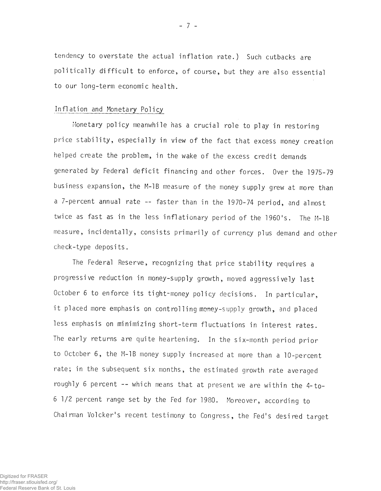tendency to overstate the actual inflation rate.) Such cutbacks are politically difficult to enforce, of course, but they are also essential to our long-term economic health.

### Inflation and Monetary Policy

Monetary policy meanwhile has a crucial role to play in restoring price stability, especially in view of the fact that excess money creation helped create the problem, in the wake of the excess credit demands generated by Federal deficit financing and other forces. Over the 1975-79 business expansion, the M-1B measure of the money supply grew at more than a 7-percent annual rate — faster than in the 1970-74 period, and almost twice as fast as in the less inflationary period of the 1960's. The M-1B measure, incidentally, consists primarily of currency plus demand and other check-type deposits.

The Federal Reserve, recognizing that price stability requires a progressive reduction in money-supply growth, moved aggressively last October 6 to enforce its tight-money policy decisions. In particular, it placed more emphasis on controlling money-supply growth, and placed less emphasis on minimizing short-term fluctuations in interest rates. The early returns are quite heartening. In the six-month period prior to October 6, the M-1B money supply increased at more than a 10-percent rate; in the subsequent six months, the estimated growth rate averaged roughly 6 percent -- which means that at present we are within the 4-to-6 1/2 percent range set by the Fed for 1980. Moreover, according to Chairman Volcker's recent testimony to Congress, the Fed's desired target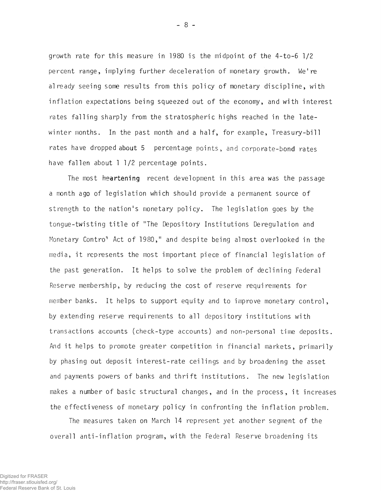growth rate for this measure in 1980 is the midpoint of the 4-to-6 1/2 percent range, implying further deceleration of monetary growth. We're already seeing some results from this policy of monetary discipline, with in flation expectations being squeezed out of the economy, and with interest rates falling sharply from the stratospheric highs reached in the latewinter months. In the past month and a half, for example, Treasury-bill rates have dropped about 5 percentage points, and corporate-bond rates have fallen about 1 1/2 percentage points.

The most heartening recent development in this area was the passage a month ago of legislation which should provide a permanent source of strength to the nation's monetary policy. The legislation goes by the tongue-twisting title of "The Depository Institutions Deregulation and Monetary Contro<sup>1</sup> Act of 1980," and despite being almost overlooked in the media, it represents the most important piece of financial legislation of the past generation. It helps to solve the problem of declining Federal Reserve membership, by reducing the cost of reserve requi rements for member banks. It helps to support equity and to improve monetary control, by extending reserve requirements to all depository institutions with transactions accounts (check-type accounts) and non-personal time deposits. And it helps to promote greater competition in financial markets, primarily by phasing out deposit interest-rate ceilings and by broadening the asset and payments powers of banks and thrift institutions. The new legislation makes a number of basic structural changes, and in the process, it increases the effectiveness of monetary policy in confronting the inflation problem.

The measures taken on March 14 represent yet another segment of the overall anti-inflation program, with the Federal Reserve broadening its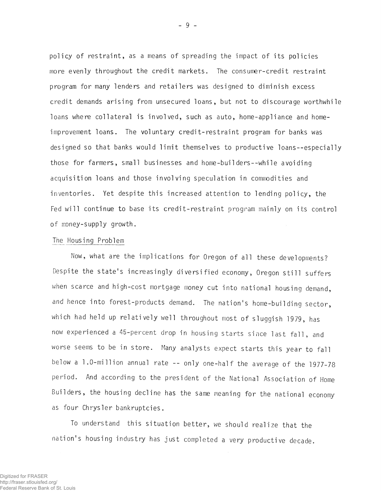policy of restraint, as a means of spreading the impact of its policies more evenly throughout the credit markets. The consumer-credit restraint program for many lenders and retailers was designed to diminish excess credit demands a rising from unsecured loans, but not to discourage worthwhile loans where collateral is involved, such as auto, home-appliance and homeimprovement loans. The voluntary credit-restraint program for banks was designed so that banks would limit themselves to productive loans--especially those for farmers, small businesses and home-builders--while avoiding acquisition loans and those involving speculation in commodities and inventories. Yet despite this increased attention to lending policy, the Fed will continue to base its credit-restraint program mainly on its control of money-supply growth.

#### The Housing Problem

Now, what are the implications for Oregon of all these developments? Despite the state's increasingly diversified economy, Oregon still suffers when scarce and high-cost mortgage money cut into national housing demand, and hence into forest-products demand. The nation's home-building sector, which had held up relatively well throughout most of sluggish 1979, has now experienced a 45-percent drop in housing starts since last fall, and worse seems to be in store. Many analysts expect starts this year to fall below a 1.0-million annual rate -- only one-half the average of the 1977-78 period. And according to the president of the National Association of Home Builders, the housing decline has the same meaning for the national economy as four Chrysler bankruptcies.

To understand this situation better, we should realize that the nation's housing industry has just completed a very productive decade.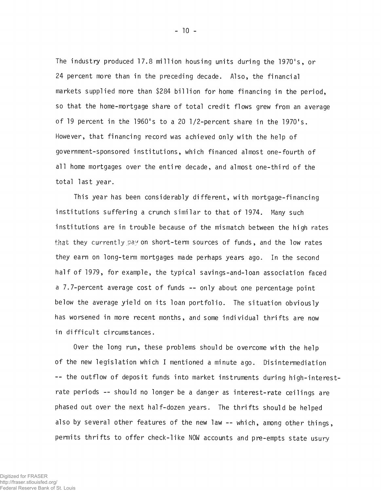The industry produced 17.8 million housing units during the 1970's, or 24 percent more than in the preceding decade. Also, the financial markets supplied more than \$284 billion for home financing in the period, so that the home-mortgage share of total credit flows grew from an average of 19 percent in the 1960's to a 20 1/2-percent share in the 1970's. However, that financing record was achieved only with the help of government-sponsored institutions, which financed almost one-fourth of all home mortgages over the entire decade, and almost one-third of the total last year.

This year has been considerably different, with mortgage-financing institutions suffering a crunch similar to that of 1974. Many such institutions are in trouble because of the mismatch between the high rates that they currently pay on short-term sources of funds, and the low rates they earn on long-term mortgages made perhaps years ago. In the second half of 1979, for example, the typical savings-and-loan association faced a 7.7-percent average cost of funds -- only about one percentage point below the average yield on its loan portfolio. The situation obviously has worsened in more recent months, and some individual thrifts are now in difficult circumstances.

Over the long run, these problems should be overcome with the help of the new legislation which I mentioned a minute ago. Disintermediation -- the outflow of deposit funds into market instruments during high-interestrate periods -- should no longer be a danger as interest-rate ceilings are phased out over the next half-dozen years. The thrifts should be helped also by several other features of the new law -- which, among other things, permits thrifts to offer check-like NOW accounts and pre-empts state usury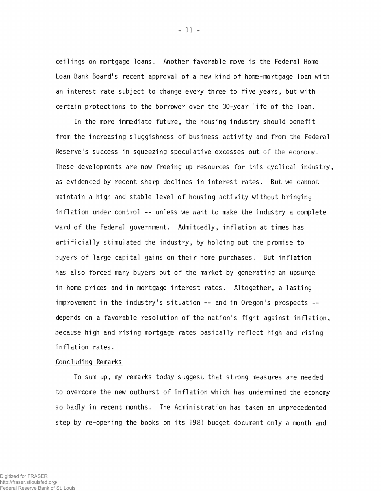ceilings on mortgage loans. Another favorable move is the Federal Home Loan Bank Board's recent approval of a new kind of home-mortgage loan with an interest rate subject to change every three to five years, but with certain protections to the borrower over the 30-year life of the loan.

In the more immediate future, the housing industry should benefit from the increasing sluggishness of business activity and from the Federal Reserve's success in squeezing speculative excesses out of the economy. These developments are now freeing up resources for this cyclical industry, as evidenced by recent sharp declines in interest rates. But we cannot maintain a high and stable level of housing activity without bringing inflation under control -- unless we want to make the industry a complete ward of the Federal government. Admittedly, inflation at times has artificially stimulated the industry, by holding out the promise to buyers of large capital gains on their home purchases. But inflation has also forced many buyers out of the market by generating an upsurge in home prices and in mortgage interest rates. Altogether, a lasting improvement in the industry's situation -- and in Oregon's prospects depends on a favorable resolution of the nation's fight against inflation, because high and rising mortgage rates basically reflect high and rising inflation rates.

#### Concluding Remarks

To sum up, my remarks today suggest that strong measures are needed to overcome the new outburst of inflation which has undermined the economy so badly in recent months. The Administration has taken an unprecedented step by re-opening the books on its 1981 budget document only a month and